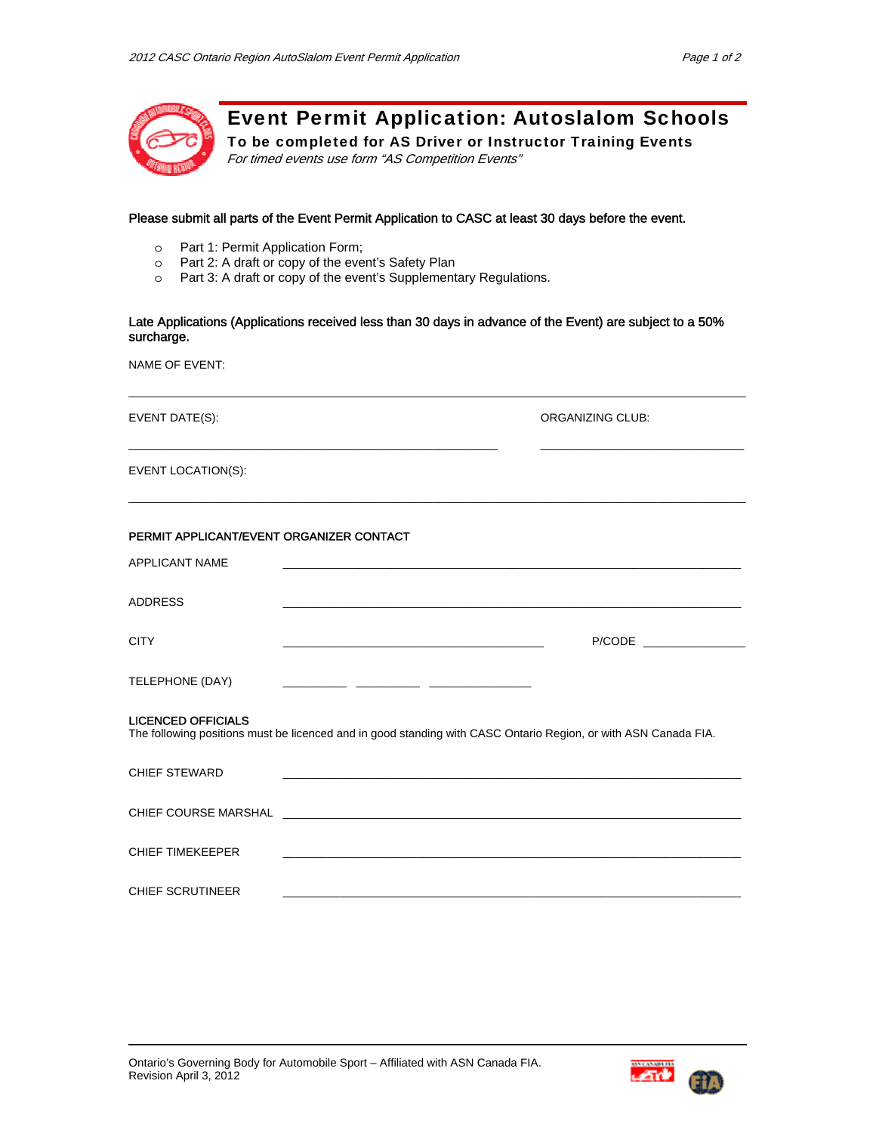

Event Permit Application: Autoslalom Schools

To be completed for AS Driver or Instructor Training Events For timed events use form "AS Competition Events"

## Please submit all parts of the Event Permit Application to CASC at least 30 days before the event.

- o Part 1: Permit Application Form;
- Part 2: A draft or copy of the event's Safety Plan
- o Part 3: A draft or copy of the event's Supplementary Regulations.

## Late Applications (Applications received less than 30 days in advance of the Event) are subject to a 50% surcharge.

 $\Box$ 

 $\_$  ,  $\_$  ,  $\_$  ,  $\_$  ,  $\_$  ,  $\_$  ,  $\_$  ,  $\_$  ,  $\_$  ,  $\_$  ,  $\_$  ,  $\_$  ,  $\_$  ,  $\_$  ,  $\_$  ,  $\_$  ,  $\_$  ,  $\_$  ,  $\_$ 

 $\_$  ,  $\_$  ,  $\_$  ,  $\_$  ,  $\_$  ,  $\_$  ,  $\_$  ,  $\_$  ,  $\_$  ,  $\_$  ,  $\_$  ,  $\_$  ,  $\_$  ,  $\_$  ,  $\_$  ,  $\_$  ,  $\_$  ,  $\_$  ,  $\_$  ,  $\_$ 

NAME OF EVENT:

EVENT DATE(S): ORGANIZING CLUB:

EVENT LOCATION(S):

| PERMIT APPLICANT/EVENT ORGANIZER CONTACT |                                                                                                                       |
|------------------------------------------|-----------------------------------------------------------------------------------------------------------------------|
| <b>APPLICANT NAME</b>                    |                                                                                                                       |
| <b>ADDRESS</b>                           |                                                                                                                       |
| <b>CITY</b>                              | the control of the control of the control of the control of the control of the control of                             |
| TELEPHONE (DAY)                          |                                                                                                                       |
| <b>LICENCED OFFICIALS</b>                | The following positions must be licenced and in good standing with CASC Ontario Region, or with ASN Canada FIA.       |
| CHIEF STEWARD                            | <u> 1989 - Johann Stoff, deutscher Stoff, der Stoff, der Stoff, der Stoff, der Stoff, der Stoff, der Stoff, der S</u> |
|                                          |                                                                                                                       |
| <b>CHIEF TIMEKEEPER</b>                  |                                                                                                                       |
| <b>CHIEF SCRUTINEER</b>                  |                                                                                                                       |